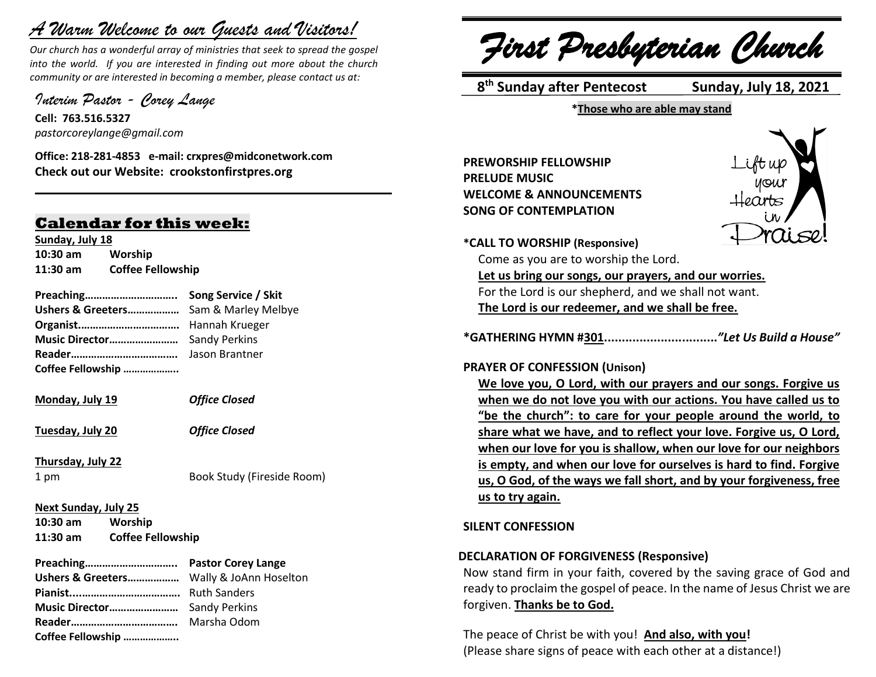# *A Warm Welcome to our Guests and Visitors!*

*Our church has a wonderful array of ministries that seek to spread the gospel into the world. If you are interested in finding out more about the church community or are interested in becoming a member, please contact us at:*

**\_\_\_\_\_\_\_\_\_\_\_\_\_\_\_\_\_\_\_\_\_\_\_\_\_\_\_\_\_\_\_\_\_\_\_\_\_\_\_\_\_\_\_\_\_\_\_\_\_\_\_\_\_\_**

*Interim Pastor - Corey Lange* 

**Cell: 763.516.5327** *pastorcoreylange@gmail.com*

**Office: 218-281-4853 e-mail: crxpres@midconetwork.com Check out our Website: crookstonfirstpres.org**

### **Calendar for this week:**

**Sunday, July 18 10:30 am Worship 11:30 am Coffee Fellowship**

**Preaching………………………….. Song Service / Skit Ushers & Greeters………………** Sam & Marley Melbye **Organist.…………………………….** Hannah Krueger **Music Director……………………** Sandy Perkins **Reader……………………………….** Jason Brantner **Coffee Fellowship ………………..**

**Monday, July 19** *Office Closed*

**Tuesday, July 20** *Office Closed*

**Thursday, July 22**

1 pm Book Study (Fireside Room)

**Next Sunday, July 25 10:30 am Worship**

**11:30 am Coffee Fellowship**

**Preaching………………………….. Pastor Corey Lange Ushers & Greeters………………** Wally & JoAnn Hoselton **Pianist....…………………………….** Ruth Sanders **Music Director……………………** Sandy Perkins **Reader……………………………….** Marsha Odom **Coffee Fellowship ………………..**

*First Presbyterian Church*

 **8 th Sunday after Pentecost Sunday, July 18, 2021**

**\*Those who are able may stand**

**PREWORSHIP FELLOWSHIP PRELUDE MUSIC WELCOME & ANNOUNCEMENTS SONG OF CONTEMPLATION**



**\*CALL TO WORSHIP (Responsive)**

Come as you are to worship the Lord. **Let us bring our songs, our prayers, and our worries.** For the Lord is our shepherd, and we shall not want. **The Lord is our redeemer, and we shall be free.**

**\*GATHERING HYMN #301................................***"Let Us Build a House"*

#### **PRAYER OF CONFESSION (Unison)**

**We love you, O Lord, with our prayers and our songs. Forgive us when we do not love you with our actions. You have called us to "be the church": to care for your people around the world, to share what we have, and to reflect your love. Forgive us, O Lord, when our love for you is shallow, when our love for our neighbors is empty, and when our love for ourselves is hard to find. Forgive us, O God, of the ways we fall short, and by your forgiveness, free us to try again.**

#### **SILENT CONFESSION**

#### **DECLARATION OF FORGIVENESS (Responsive)**

Now stand firm in your faith, covered by the saving grace of God and ready to proclaim the gospel of peace. In the name of Jesus Christ we are forgiven. **Thanks be to God.**

The peace of Christ be with you! **And also, with you!** (Please share signs of peace with each other at a distance!)